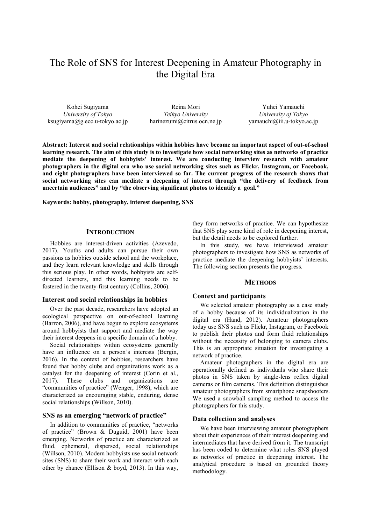# The Role of SNS for Interest Deepening in Amateur Photography in the Digital Era

Kohei Sugiyama *University of Tokyo* ksugiyama@g.ecc.u-tokyo.ac.jp

Reina Mori *Teikyo University* harinezumi@citrus.ocn.ne.jp

Yuhei Yamauchi *University of Tokyo* yamauchi@iii.u-tokyo.ac.jp

**Abstract: Interest and social relationships within hobbies have become an important aspect of out-of-school learning research. The aim of this study is to investigate how social networking sites as networks of practice mediate the deepening of hobbyists' interest. We are conducting interview research with amateur photographers in the digital era who use social networking sites such as Flickr, Instagram, or Facebook, and eight photographers have been interviewed so far. The current progress of the research shows that social networking sites can mediate a deepening of interest through "the delivery of feedback from uncertain audiences" and by "the observing significant photos to identify a goal."** 

**Keywords: hobby, photography, interest deepening, SNS** 

## **INTRODUCTION**

Hobbies are interest-driven activities (Azevedo, 2017). Youths and adults can pursue their own passions as hobbies outside school and the workplace, and they learn relevant knowledge and skills through this serious play. In other words, hobbyists are selfdirected learners, and this learning needs to be fostered in the twenty-first century (Collins, 2006).

### **Interest and social relationships in hobbies**

Over the past decade, researchers have adopted an ecological perspective on out-of-school learning (Barron, 2006), and have begun to explore ecosystems around hobbyists that support and mediate the way their interest deepens in a specific domain of a hobby.

Social relationships within ecosystems generally have an influence on a person's interests (Bergin, 2016). In the context of hobbies, researchers have found that hobby clubs and organizations work as a catalyst for the deepening of interest (Corin et al., 2017). These clubs and organizations are "communities of practice" (Wenger, 1998), which are characterized as encouraging stable, enduring, dense social relationships (Willson, 2010).

## **SNS as an emerging "network of practice"**

In addition to communities of practice, "networks of practice" (Brown & Duguid, 2001) have been emerging. Networks of practice are characterized as fluid, ephemeral, dispersed, social relationships (Willson, 2010). Modern hobbyists use social network sites (SNS) to share their work and interact with each other by chance (Ellison & boyd, 2013). In this way, they form networks of practice. We can hypothesize that SNS play some kind of role in deepening interest, but the detail needs to be explored further.

In this study, we have interviewed amateur photographers to investigate how SNS as networks of practice mediate the deepening hobbyists' interests. The following section presents the progress.

# **METHODS**

## **Context and participants**

We selected amateur photography as a case study of a hobby because of its individualization in the digital era (Hand, 2012). Amateur photographers today use SNS such as Flickr, Instagram, or Facebook to publish their photos and form fluid relationships without the necessity of belonging to camera clubs. This is an appropriate situation for investigating a network of practice.

Amateur photographers in the digital era are operationally defined as individuals who share their photos in SNS taken by single-lens reflex digital cameras or film cameras. This definition distinguishes amateur photographers from smartphone snapshooters. We used a snowball sampling method to access the photographers for this study.

#### **Data collection and analyses**

We have been interviewing amateur photographers about their experiences of their interest deepening and intermediates that have derived from it. The transcript has been coded to determine what roles SNS played as networks of practice in deepening interest. The analytical procedure is based on grounded theory methodology.